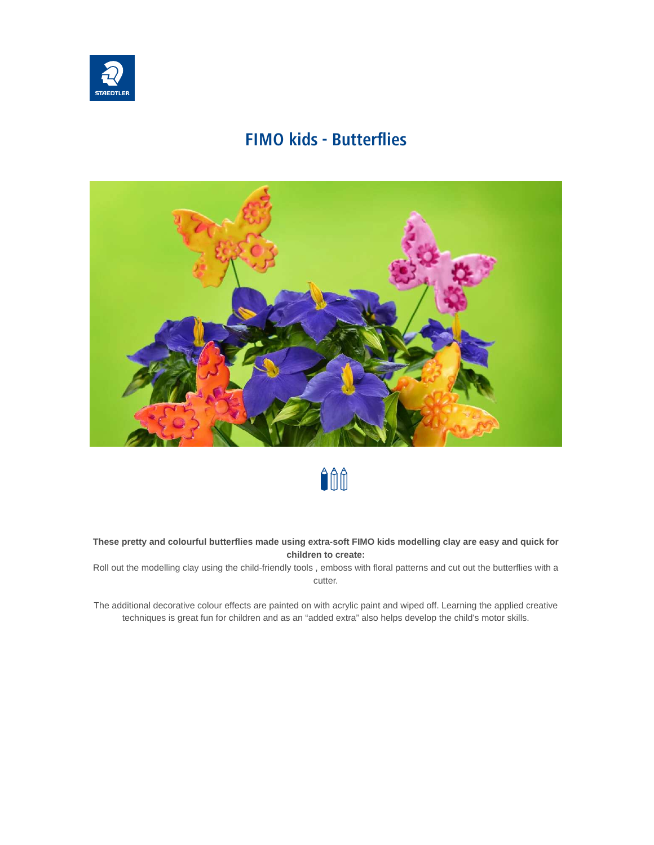

# **FIMO kids - Butterflies**





#### **These pretty and colourful butterflies made using extra-soft FIMO kids modelling clay are easy and quick for children to create:**

Roll out the modelling clay using the child-friendly tools , emboss with floral patterns and cut out the butterflies with a cutter.

The additional decorative colour effects are painted on with acrylic paint and wiped off. Learning the applied creative techniques is great fun for children and as an "added extra" also helps develop the child's motor skills.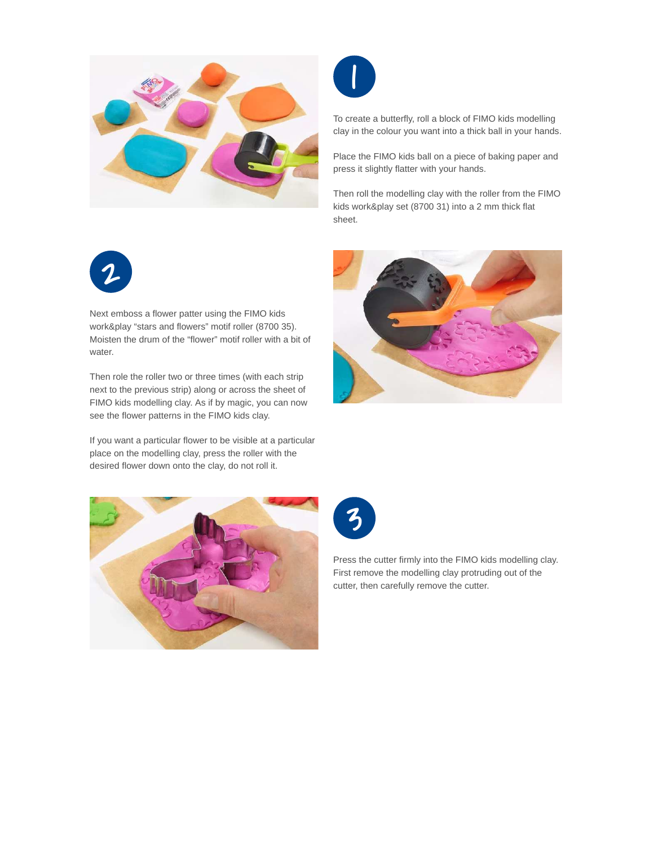



To create a butterfly, roll a block of FIMO kids modelling clay in the colour you want into a thick ball in your hands.

Place the FIMO kids ball on a piece of baking paper and press it slightly flatter with your hands.

Then roll the modelling clay with the roller from the FIMO kids work&play set (8700 31) into a 2 mm thick flat sheet.



Next emboss a flower patter using the FIMO kids work&play "stars and flowers" motif roller (8700 35). Moisten the drum of the "flower" motif roller with a bit of water.

Then role the roller two or three times (with each strip next to the previous strip) along or across the sheet of FIMO kids modelling clay. As if by magic, you can now see the flower patterns in the FIMO kids clay.

If you want a particular flower to be visible at a particular place on the modelling clay, press the roller with the desired flower down onto the clay, do not roll it.







Press the cutter firmly into the FIMO kids modelling clay. First remove the modelling clay protruding out of the cutter, then carefully remove the cutter.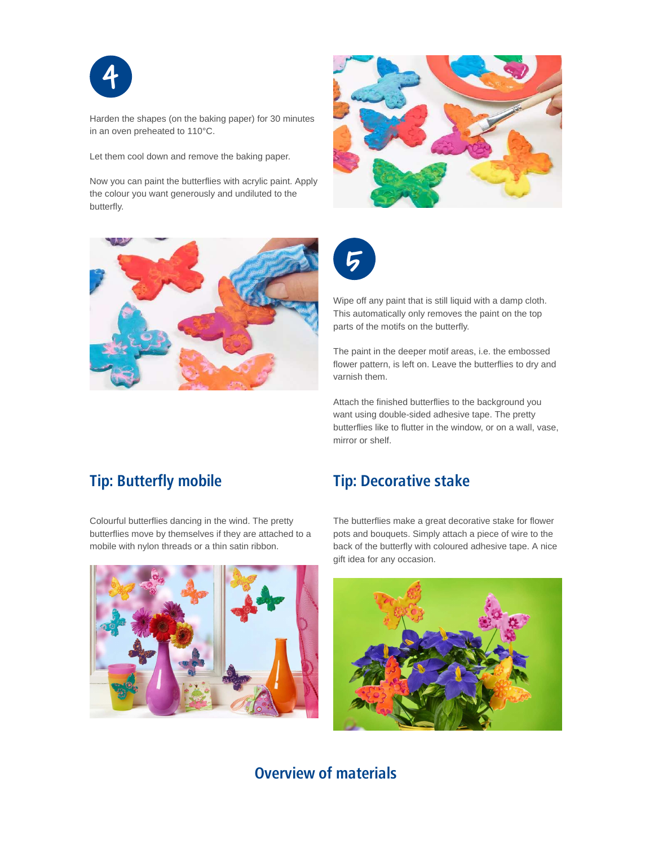

Harden the shapes (on the baking paper) for 30 minutes in an oven preheated to 110°C.

Let them cool down and remove the baking paper.

Now you can paint the butterflies with acrylic paint. Apply the colour you want generously and undiluted to the butterfly.







Wipe off any paint that is still liquid with a damp cloth. This automatically only removes the paint on the top parts of the motifs on the butterfly.

The paint in the deeper motif areas, i.e. the embossed flower pattern, is left on. Leave the butterflies to dry and varnish them.

Attach the finished butterflies to the background you want using double-sided adhesive tape. The pretty butterflies like to flutter in the window, or on a wall, vase, mirror or shelf.

### **Tip: Butterfly mobile**

Colourful butterflies dancing in the wind. The pretty butterflies move by themselves if they are attached to a mobile with nylon threads or a thin satin ribbon.

#### **Tip: Decorative stake**

The butterflies make a great decorative stake for flower pots and bouquets. Simply attach a piece of wire to the back of the butterfly with coloured adhesive tape. A nice gift idea for any occasion.





## **Overview of materials**